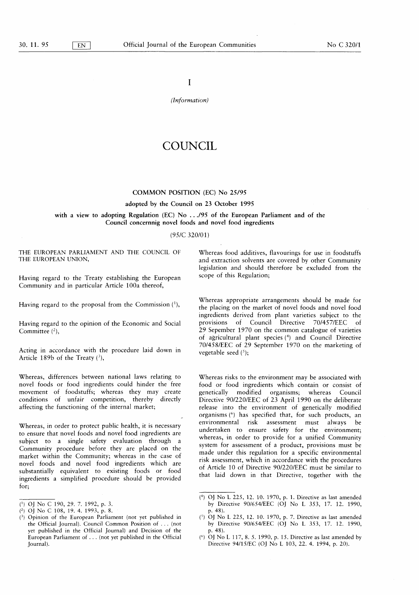I

(Information)

# COUNCIL

## COMMON POSITION (EC) No 25/95

#### adopted by the Council on 23 October 1995

# with a view to adopting Regulation (EC) No  $\dots$  /95 of the European Parliament and of the Council concernnig novel foods and novel food ingredients

# ( 95/C 320/01 )

THE EUROPEAN PARLIAMENT AND THE COUNCIL OF THE EUROPEAN UNION,

Having regard to the Treaty establishing the European Community and in particular Article 100a thereof,

Having regard to the proposal from the Commission ('),

Having regard to the opinion of the Economic and Social Committee  $(2)$ ,

Acting in accordance with the procedure laid down in Article 189b of the Treaty  $(3)$ ,

Whereas, differences between national laws relating to novel foods or food ingredients could hinder the free movement of foodstuffs; whereas they may create conditions of unfair competition, thereby directly affecting the functioning of the internal market;

Whereas, in order to protect public health, it is necessary to ensure that novel foods and novel food ingredients are subject to a single safety evaluation through a Community procedure before they are placed on the market within the Community; whereas in the case of novel foods and novel food ingredients which are substantially equivalent to existing foods or food ingredients a simplified procedure should be provided for;

Whereas food additives, flavourings for use in foodstuffs and extraction solvents are covered by other Community legislation and should therefore be excluded from the scope of this Regulation;

Whereas appropriate arrangements should be made for the placing on the market of novel foods and novel food ingredients derived from plant varieties subject to the provisions of Council Directive 70/457/EEC of 29 Sepember 1970 on the common catalogue of varieties of agricultural plant species (4) and Council Directive 70/458/EEC of 29 September 1970 on the marketing of vegetable seed  $(5)$ ;

Whereas risks to the environment may be associated with food or food ingredients which contain or consist of genetically modified organisms; whereas Council Directive 90/220/EEC of 23 April 1990 on the deliberate release into the environment of genetically modified organisms (<sup>6</sup>) has specified that, for such products, an environmental risk assessment must always be undertaken to ensure safety for the environment; whereas, in order to provide for a unified Community system for assessment of a product, provisions must be made under this regulation for a specific environmental risk assessment, which in accordance with the procedures of Article 10 of Directive 90/220/EEC must be similar to that laid down in that Directive, together with the

<sup>(1)</sup> OJ No C 190, 29. 7. 1992, p. 3.

 $(2)$  OJ No C 108, 19. 4. 1993, p. 8.

<sup>(3)</sup> Opinion of the European Parliament (not yet published in the Official Journal). Council Common Position of . . . ( not yet published in the Official Journal) and Decision of the European Parliament of . . . ( not yet published in the Official Journal).

<sup>(4)</sup> OJ No L 225, 12. 10. 1970, p. 1. Directive as last amended by Directive 90/654/EEC (OJ No L 353, 17. 12. 1990, p. 48).

 $(5)$  OJ No L 225, 12. 10. 1970, p. 7. Directive as last amended by Directive 90/654/EEC (OJ No L 353, 17. 12. 1990,  $p. 48$ ).

<sup>(</sup> $^6$ ) OJ No L 117, 8. 5. 1990, p. 15. Directive as last amended by Directive 94/15/EC (OJ No L 103, 22. 4. 1994, p. 20).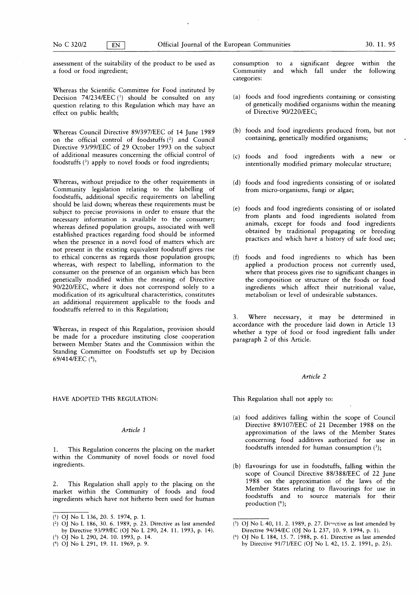assessment of the suitability of the product to be used as a food or food ingredient;

Whereas the Scientific Committee for Food instituted by Decision  $74/234/EEC$ <sup>(1)</sup> should be consulted on any question relating to this Regulation which may have an effect on public health;

Whereas Council Directive 89/397/EEC of 14 June 1989 on the official control of foodstuffs  $(2)$  and Council Directive 93/99/EEC of 29 October 1993 on the subject of additional measures concerning the official control of foodstuffs  $(3)$  apply to novel foods or food ingredients;

Whereas, without prejudice to the other requirements in Community legislation relating to the labelling of foodstuffs, additional specific requirements on labelling should be laid down; whereas these requirements must be subject to precise provisions in order to ensure that the necessary information is available to the consumer; whereas defined population groups, associated with well established practices regarding food should be informed when the presence in a novel food of matters which are not present in the existing equivalent foodstuff gives rise to ethical concerns as regards those population groups; whereas, with respect to labelling, information to the consumer on the presence of an organism which has been genetically modified within the meaning of Directive 90/220/EEC, where it does not correspond solely to a modification of its agricultural characteristics, constitutes an additional requirement applicable to the foods and foodstuffs referred to in this Regulation;

Whereas, in respect of this Regulation, provision should be made for a procedure instituting close cooperation between Member States and the Commission within the Standing Committee on Foodstuffs set up by Decision 69/414/EEC (4),

#### HAVE ADOPTED THIS REGULATION: This Regulation shall not apply to:

#### Article <sup>1</sup>

1. This Regulation concerns the placing on the market within the Community of novel foods or novel food ingredients.

2. This Regulation shall apply to the placing on the market within the Community of foods and food ingredients which have not hitherto been used for human consumption to a significant degree within the Community and which fall under the following categories:

- $(a)$  foods and food ingredients containing or consisting of genetically modified organisms within the meaning of Directive 90/220/EEC;
- (b) foods and food ingredients produced from, but not containing, genetically modified organisms;
- (c) foods and food ingredients with a new or intentionally modified primary molecular structure;
- (d) foods and food ingredients consisting of or isolated from micro-organisms, fungi or algae;
- (e) foods and food ingredients consisting of or isolated from plants and food ingredients isolated from animals, except for foods and food ingredients obtained by traditional propagating or breeding practices and which have a history of safe food use;
- (f) foods and food ingredients to which has been applied a production process not currently used, where that process gives rise to significant changes in the composition or structure of the foods or food ingredients which affect their nutritional value, metabolism or level of undesirable substances.

3. Where necessary, it may be determined in accordance with the procedure laid down in Article 13 whether a type of food or food ingredient falls under paragraph 2 of this Article.

#### Article 2

- (a) food additives falling within the scope of Council Directive 89/107/EEC of 21 December 1988 on the approximation of the laws of the Member States concerning food additives authorized for use in foodstuffs intended for human consumption  $(5)$ ;
- (b) flavourings for use in foodstuffs, falling within the scope of Council Directive 88/388/EEC of 22 June 1988 on the approximation of the laws of the Member States relating to flavourings for use in foodstuffs and to source materials for their production  $(6)$ ;

<sup>(1)</sup> OJ No L 136, 20. 5. 1974, p. 1.

<sup>(2)</sup> OJ No L 186, 30. 6. 1989, p. 23. Directive as last amended by Directive 93/99/EC (OJ No L 290, 24. 11. 1993, p. 14).

<sup>(3)</sup> OJ No L 290, 24. 10. 1993, p. 14.

<sup>(4)</sup> OJ No L 291, 19. 11. 1969, p. 9.

<sup>(</sup> $5$ ) OJ No L 40, 11. 2. 1989, p. 27. Directive as last amended by Directive 94/34/EC (OJ No L 237, 10. 9. 1994, p. 1).

<sup>(</sup> <sup>6</sup> ) OJ No L 184, 15 . 7. 1988 , p. 61 . Directive as last amended by Directive 91/71/EEC (OJ No L 42, 15. 2. 1991, p. 25).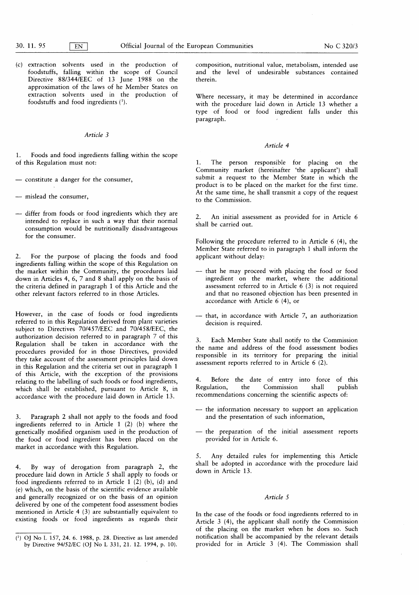(c) extraction solvents used in the production of foodstuffs, falling within the scope of Council Directive 88/344/EEC of 13 June 1988 on the approximation of the laws of he Member States on extraction solvents used in the production of foodstuffs and food ingredients  $(1)$ .

# Article 3

1. Foods and food ingredients falling within the scope of this Regulation must not:

- constitute a danger for the consumer,
- mislead the consumer,
- differ from foods or food ingredients which they are intended to replace in such a way that their normal consumption would be nutritionally disadvantageous for the consumer.

2. For the purpose of placing the foods and food ingredients falling within the scope of this Regulation on the market within the Community, the procedures laid down in Articles 4, 6, 7 and 8 shall apply on the basis of the criteria defined in paragraph <sup>1</sup> of this Article and the other relevant factors referred to in those Articles.

However, in the case of foods or food ingredients referred to in this Regulation derived from plant varieties subject to Directives 70/457/EEC and 70/458/EEC, the authorization decision referred to in paragraph 7 of this Regulation shall be taken in accordance with the procedures provided for in those Directives, provided they take account of the assessment principles laid down in this Regulation and the criteria set out in paragraph <sup>1</sup> of this Article, with the exception of the provisions relating to the labelling of such foods or food ingredients, which shall be established, pursuant to Article 8, in accordance with the procedure laid down in Article 13.

3 . Paragraph 2 shall not apply to the foods and food ingredients referred to in Article  $1$  (2) (b) where the genetically modified organism used in the production of the food or food ingredient has been placed on the market in accordance with this Regulation.

4. By way of derogation from paragraph 2, the procedure laid down in Article 5 shall apply to foods or food ingredients referred to in Article  $1(2)$  (b), (d) and (e) which, on the basis of the scientific evidence available and generally recognized or on the basis of an opinion delivered by one of the competent food assessment bodies mentioned in Article 4  $(3)$  are substantially equivalent to existing foods or food ingredients as regards their composition, nutritional value, metabolism, intended use and the level of undesirable substances contained therein.

Where necessary, it may be determined in accordance with the procedure laid down in Article 13 whether a type of food or food ingredient falls under this paragraph.

## Article 4

<sup>1</sup> . The person responsible for placing on the Community market ( hereinafter 'the applicant') shall submit a request to the Member State in which the product is to be placed on the market for the first time. At the same time, he shall transmit a copy of the request to the Commission.

2. An initial assessment as provided for in Article 6 shall be carried out.

Following the procedure referred to in Article  $6(4)$ , the Member State referred to in paragraph <sup>1</sup> shall inform the applicant without delay:

- that he may proceed with placing the food or food ingredient on the market, where the additional assessment referred to in Article  $6$  (3) is not required and that no reasoned objection has been presented in accordance with Article  $6$  (4), or
- that, in accordance with Article 7, an authorization decision is required.

3. Each Member State shall notify to the Commission the name and address of the food assessment bodies responsible in its territory for preparing the initial assessment reports referred to in Article  $6$  (2).

4. Before the date of entry into force of this<br>Regulation, the Commission shall publish Commission recommendations concerning the scientific aspects of:

- the information necessary to support an application and the presentation of such information,
- the preparation of the initial assessment reports provided for in Article 6.

5 . Any detailed rules for implementing this Article shall be adopted in accordance with the procedure laid down in Article 13.

# Article 5

In the case of the foods or food ingredients referred to in Article 3 (4), the applicant shall notify the Commission of the placing on the market when he does so. Such notification shall be accompanied by the relevant details provided for in Article  $3(4)$ . The Commission shall

<sup>(&#</sup>x27;) OJ No L 157, 24. 6 . 1988, p. 28 . Directive as last amended by Directive 94/52/EC (OJ No L 331, 21. 12. 1994, p. 10).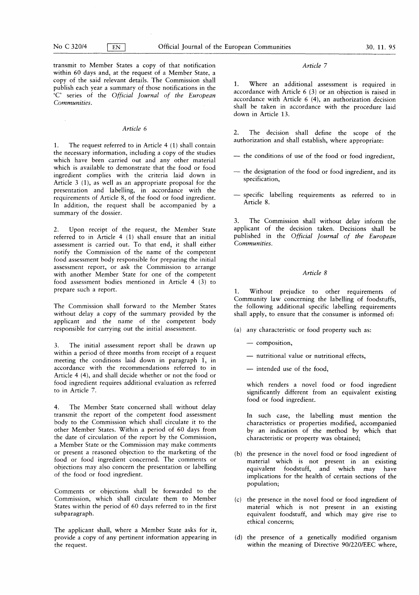$\sim$ 

transmit to Member States a copy of that notification and the state of Article 7 within 60 days and, at the request of a Member State, a copy of the said relevant details. The Commission shall publish each year a summary of those notifications in the 'C' series of the Official Journal of the European Communities.

#### Article 6

1. The request referred to in Article 4 (1) shall contain the necessary information, including a copy of the studies which have been carried out and any other material which is available to demonstrate that the food or food ingredient complies with the criteria laid down in Article  $3$  (1), as well as an appropriate proposal for the presentation and labelling, in accordance with the requirements of Article 8, of the food or food ingredient. In addition, the request shall be accompanied by a summary of the dossier.

2. Upon receipt of the request, the Member State referred to in Article  $4$  (1) shall ensure that an initial assessment is carried out. To that end, it shall either notify the Commission of the name of the competent food assessment body responsible for preparing the initial assessment report, or ask the Commission to arrange with another Member State for one of the competent food assessment bodies mentioned in Article 4 (3) to prepare such a report.

The Commission shall forward to the Member States without delay a copy of the summary provided by the applicant and the name of the competent body responsible for carrying out the initial assessment.

3. The initial assessment report shall be drawn up within a period of three months from receipt of a request meeting the conditions laid down in paragraph 1, in accordance with the recommendations referred to in Article 4 (4), and shall decide whether or not the food or food ingredient requires additional evaluation as referred to in Article 7.

4. The Member State concerned shall without delay transmit the report of the competent food assessment body to the Commission which shall circulate it to the other Member States. Within a period of 60 days from the date of circulation of the report by the Commission, a Member State or the Commission may make comments or present a reasoned objection to the marketing of the food or food ingredient concerned. The comments or objections may also concern the presentation or labelling of the food or food ingredient.

Comments or objections shall be forwarded to the Commission, which shall circulate them to Member States within the period of 60 days referred to in the first subparagraph.

The applicant shall, where a Member State asks for it, provide a copy of any pertinent information appearing in the request.

<sup>1</sup> . Where an additional assessment is required in accordance with Article  $6(3)$  or an objection is raised in accordance with Article  $6(4)$ , an authorization decision shall be taken in accordance with the procedure laid down in Article 13.

2. The decision shall define the scope of the authorization and shall establish, where appropriate:

- the conditions of use of the food or food ingredient,
- the designation of the food or food ingredient, and its specification,
- specific labelling requirements as referred to in Article 8.

3. The Commission shall without delay inform the applicant of the decision taken. Decisions shall be published in the Official Journal of the European Communities.

# Article 8

<sup>1</sup> . Without prejudice to other requirements of Community law concerning the labelling of foodstuffs, the following additional specific labelling requirements shall apply, to ensure that the consumer is informed of:

- (a) any characteristic or food property such as:
	- composition,
	- nutritional value or nutritional effects,
	- intended use of the food,

which renders a novel food or food ingredient significantly different from an equivalent existing food or food ingredient.

In such case, the labelling must mention the characteristics or properties modified, accompanied by an indication of the method by which that characteristic or property was obtained;

- (b) the presence in the novel food or food ingredient of material which is not present in an existing equivalent foodstuff, and which may have implications for the health of certain sections of the population;
- (c) the presence in the novel food or food ingredient of material which is not present in an existing equivalent foodstuff, and which may give rise to ethical concerns;
- (d) the presence of a genetically modified organism within the meaning of Directive 90/220/EEC where,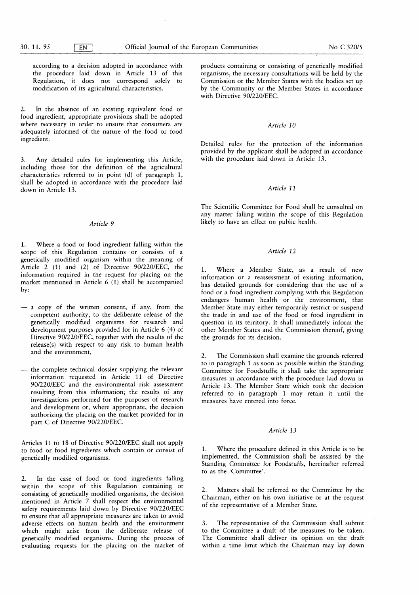according to a decision adopted in accordance with the procedure laid down in Article 13 of this Regulation, it does not correspond solely to modification of its agricultural characteristics.

2. In the absence of an existing equivalent food or food ingredient, appropriate provisions shall be adopted where necessary in order to ensure that consumers are adequately informed of the nature of the food or food ingredient.

3. Any detailed rules for implementing this Article, including those for the definition of the agricultural characteristics referred to in point  $(d)$  of paragraph 1, shall be adopted in accordance with the procedure laid down in Article 13.

1. Where a food or food ingredient falling within the scope of this Regulation contains or consists of a genetically modified organism within the meaning of Article 2 (1) and (2) of Directive 90/220/EEC, the information required in the request for placing on the market mentioned in Article  $6(1)$  shall be accompanied by:

- a copy of the written consent, if any, from the competent authority, to the deliberate release of the genetically modified organisms for research and development purposes provided for in Article 6 (4) of Directive 90/220/EEC, together with the results of the release(s) with respect to any risk to human health and the environment,
- the complete technical dossier supplying the relevant information requested in Article 11 of Directive 90/220/EEC and the environmental risk assessment resulting from this information; the results of any investigations performed for the purposes of research and development or, where appropriate, the decision authorizing the placing on the market provided for in part C of Directive 90/220/EEC.

Articles 11 to 18 of Directive 90/220/EEC shall not apply to food or food ingredients which contain or consist of genetically modified organisms.

2. In the case of food or food ingredients falling within the scope of this Regulation containing or consisting of genetically modified organisms, the decision mentioned in Article 7 shall respect the environmental safety requirements laid down by Directive 90/220/EEC to ensure that all appropriate measures are taken to avoid adverse effects on human health and the environment which might arise from the deliberate release of genetically modified organisms. During the process of evaluating requests for the placing on the market of

products containing or consisting of genetically modified organisms, the necessary consultations will be held by the Commission or the Member States with the bodies set up by the Community or the Member States in accordance with Directive 90/220/EEC.

## Article 10

Detailed rules for the protection of the information provided by the applicant shall be adopted in accordance with the procedure laid down in Article 13.

# Article 11

The Scientific Committee for Food shall be consulted on any matter falling within the scope of this Regulation Article 9 likely to have an effect on public health.

# Article 12

1. Where a Member State, as a result of new information or a reassessment of existing information, has detailed grounds for considering that the use of a food or a food ingredient complying with this Regulation endangers human health or the environment, that Member State may either temporarily restrict or suspend the trade in and use of the food or food ingredient in question in its territory. It shall immediately inform the other Member States and the Commission thereof, giving the grounds for its decision.

2. The Commission shall examine the grounds referred to in paragraph <sup>1</sup> as soon as possible within the Standing Committee for Foodstuffs; it shall take the appropriate measures in accordance with the procedure laid down in Article 13. The Member State which took the decision referred to in paragraph <sup>1</sup> may retain it until the measures have entered into force.

### Article 13

1. Where the procedure defined in this Article is to be implemented, the Commission shall be assisted by the Standing Committee for Foodstuffs, hereinafter referred to as the 'Committee'.

2. Matters shall be referred to the Committee by the Chairman, either on his own initiative or at the request of the representative of a Member State.

3. The representative of the Commission shall submit to the Committee a draft of the measures to be taken. The Committee shall deliver its opinion on the draft within a time limit which the Chairman may lay down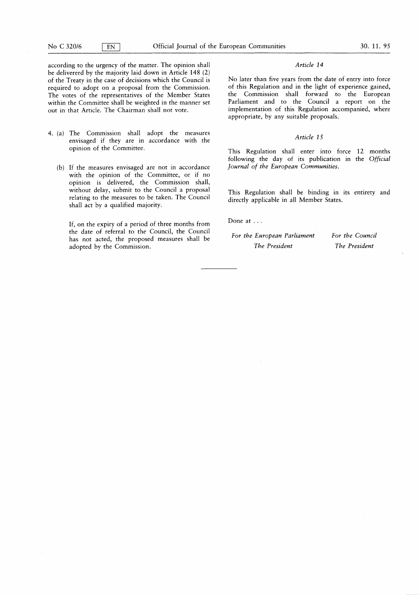according to the urgency of the matter. The opinion shall Article 14 be delivererd by the majority laid down in Article 148 (2) of the Treaty in the case of decisions which the Council is required to adopt on a proposal from the Commission. The votes of the representatives of the Member States within the Committee shall be weighted in the manner set out in that Article. The Chairman shall not vote.

- 4. (a) The Commission shall adopt the measures envisaged if they are in accordance with the opinion of the Committee .
	- (b) If the measures envisaged are not in accordance with the opinion of the Committee, or if no opinion is delivered, the Commission shall, without delay, submit to the Council a proposal relating to the measures to be taken. The Council shall act by a qualified majority.

If, on the expiry of a period of three months from the date of referral to the Council, the Council has not acted, the proposed measures shall be adopted by the Commission.

No later than five years from the date of entry into force of this Regulation and in the light of experience gained, the Commission shall forward to the European Parliament and to the Council a report on the implementation of this Regulation accompanied, where appropriate, by any suitable proposals.

## Article 15

This Regulation shall enter into force 12 months following the day of its publication in the Official Journal of the European Communities.

This Regulation shall be binding in its entirety and directly applicable in all Member States.

Done at ...

| For the European Parliament | For the Council |
|-----------------------------|-----------------|
| The President               | The President   |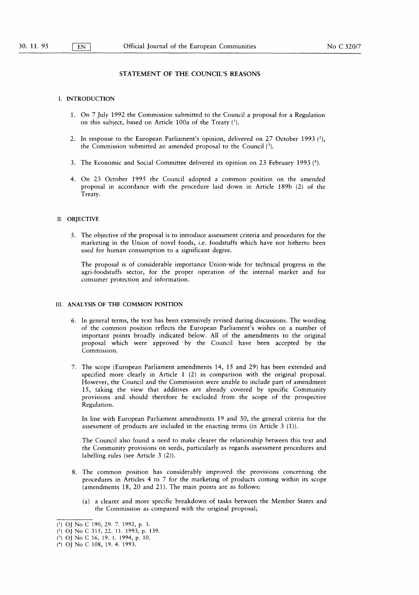# STATEMENT OF THE COUNCIL'S REASONS

#### I. INTRODUCTION

- <sup>1</sup> . On 7 July 1992 the Commission submitted to the Council a proposal for a Regulation on this subject, based on Article 100a of the Treaty (').
- 2. In response to the European Parliament's opinion, delivered on 27 October 1993  $(2)$ , the Commission submitted an amended proposal to the Council  $(3)$ .
- 3. The Economic and Social Committee delivered its opinion on 23 February 1993 (4).
- 4 . On 23 October 1995 the Council adopted a common position on the amended proposal in accordance with the procedure laid down in Article 189b (2) of the Treaty.

# II. OBJECTIVE

5 . The objective of the proposal is to introduce assessment criteria and procedures for the marketing in the Union of novel foods, i.e. foodstuffs which have not hitherto been used for human consumption to a significant degree.

The proposal is of considerable importance Union-wide for technical progress in the agri-foodstuffs sector, for the proper operation of the internal market and for consumer protection and information.

# III. ANALYSIS OF THE COMMON POSITION

- 6 . In general terms, the text has been extensively revised during discussions. The wording of the common position reflects the European Parliament's wishes on a number of important points broadly indicated below. All of the amendments to the original proposal which were approved by the Council have been accepted by the Commission.
- 7. The scope ( European Parliament amendments 14, 15 and 29 ) has been extended and specified more clearly in Article  $1(2)$  in comparison with the original proposal. However, the Council and the Commission were unable to include part of amendment 15, taking the view that additives are already covered by specific Community provisions and should therefore be excluded from the scope of the prospective Regulation.

In line with European Parliament amendments 19 and 30, the general criteria for the assessment of products are included in the enacting terms (in Article  $3$  (1)).

The Council also found a need to make clearer the relationship between this text and the Community provisions on seeds, particularly as regards assessment procedures and labelling rules (see Article  $3(2)$ ).

- 8 . The common position has considerably improved the provisions concerning the procedures in Articles 4 to 7 for the marketing of products coming within its scope  $\alpha$  (amendments 18, 20 and 21). The main points are as follows:
	- (a) a clearer and more specific breakdown of tasks between the Member States and the Commission as compared with the original proposal;

<sup>(1)</sup> OJ No C 190, 29. 7. 1992, p. 3.

 $(2)$  OJ No C 315, 22. 11. 1993, p. 139.

<sup>(3)</sup> OJ No C 16, 19. 1. 1994, p. 10.

<sup>(4)</sup> OJ No C 108, 19. 4. 1993.